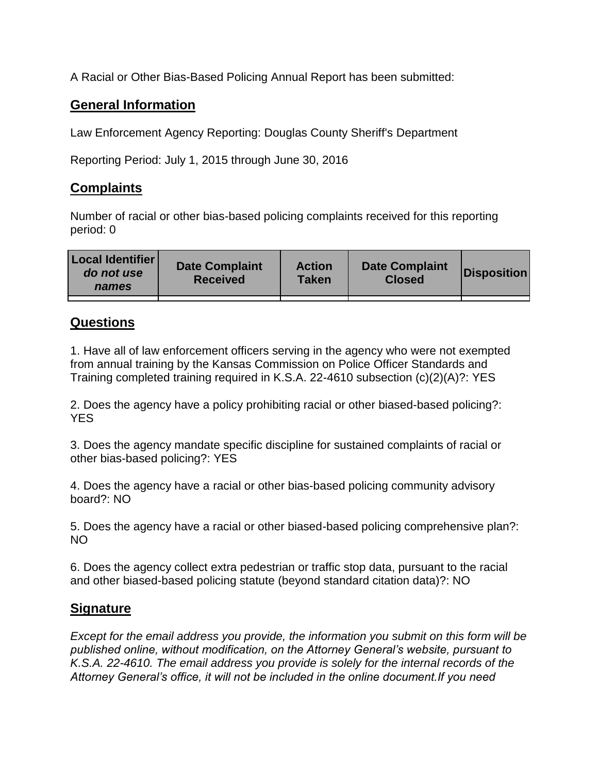A Racial or Other Bias-Based Policing Annual Report has been submitted:

## **General Information**

Law Enforcement Agency Reporting: Douglas County Sheriff's Department

Reporting Period: July 1, 2015 through June 30, 2016

## **Complaints**

Number of racial or other bias-based policing complaints received for this reporting period: 0

| <b>Local Identifier</b><br>do not use<br>names | <b>Date Complaint</b><br><b>Received</b> | <b>Action</b><br><b>Taken</b> | <b>Date Complaint</b><br><b>Closed</b> | Disposition |
|------------------------------------------------|------------------------------------------|-------------------------------|----------------------------------------|-------------|
|                                                |                                          |                               |                                        |             |

## **Questions**

1. Have all of law enforcement officers serving in the agency who were not exempted from annual training by the Kansas Commission on Police Officer Standards and Training completed training required in K.S.A. 22-4610 subsection (c)(2)(A)?: YES

2. Does the agency have a policy prohibiting racial or other biased-based policing?: YES

3. Does the agency mandate specific discipline for sustained complaints of racial or other bias-based policing?: YES

4. Does the agency have a racial or other bias-based policing community advisory board?: NO

5. Does the agency have a racial or other biased-based policing comprehensive plan?: NO

6. Does the agency collect extra pedestrian or traffic stop data, pursuant to the racial and other biased-based policing statute (beyond standard citation data)?: NO

## **Signature**

*Except for the email address you provide, the information you submit on this form will be published online, without modification, on the Attorney General's website, pursuant to K.S.A. 22-4610. The email address you provide is solely for the internal records of the Attorney General's office, it will not be included in the online document.If you need*